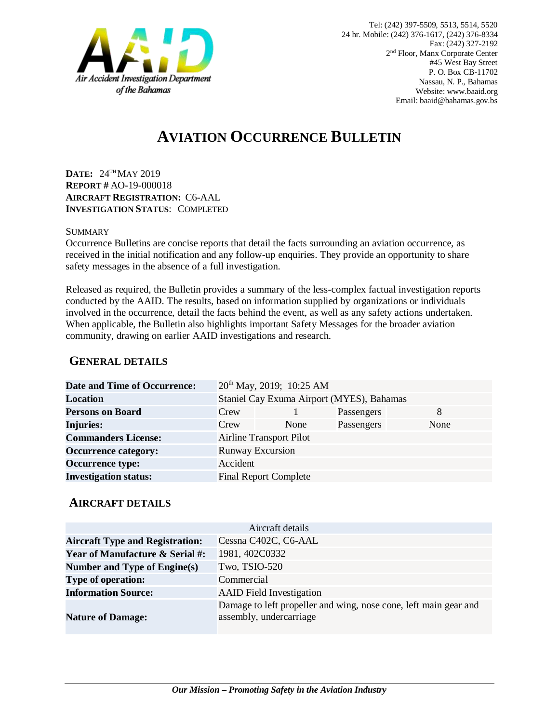

# **AVIATION OCCURRENCE BULLETIN**

**DATE:** 24TH MAY 2019 **REPORT #** AO-19-000018 **AIRCRAFT REGISTRATION:** C6-AAL **INVESTIGATION STATUS**: COMPLETED

#### SUMMARY

Occurrence Bulletins are concise reports that detail the facts surrounding an aviation occurrence, as received in the initial notification and any follow-up enquiries. They provide an opportunity to share safety messages in the absence of a full investigation*.*

Released as required, the Bulletin provides a summary of the less-complex factual investigation reports conducted by the AAID. The results, based on information supplied by organizations or individuals involved in the occurrence, detail the facts behind the event, as well as any safety actions undertaken. When applicable, the Bulletin also highlights important Safety Messages for the broader aviation community, drawing on earlier AAID investigations and research.

### **GENERAL DETAILS**

| <b>Date and Time of Occurrence:</b> |                                           | $20^{th}$ May, 2019; 10:25 AM |            |      |
|-------------------------------------|-------------------------------------------|-------------------------------|------------|------|
| <b>Location</b>                     | Staniel Cay Exuma Airport (MYES), Bahamas |                               |            |      |
| <b>Persons on Board</b>             | Crew                                      |                               | Passengers | 8    |
| <b>Injuries:</b>                    | Crew                                      | None                          | Passengers | None |
| <b>Commanders License:</b>          | <b>Airline Transport Pilot</b>            |                               |            |      |
| <b>Occurrence category:</b>         | <b>Runway Excursion</b>                   |                               |            |      |
| <b>Occurrence type:</b>             | Accident                                  |                               |            |      |
| <b>Investigation status:</b>        |                                           | <b>Final Report Complete</b>  |            |      |

#### **AIRCRAFT DETAILS**

|                                            | Aircraft details                                                                            |
|--------------------------------------------|---------------------------------------------------------------------------------------------|
| <b>Aircraft Type and Registration:</b>     | Cessna C402C, C6-AAL                                                                        |
| <b>Year of Manufacture &amp; Serial #:</b> | 1981, 402C0332                                                                              |
| Number and Type of Engine(s)               | Two, TSIO-520                                                                               |
| <b>Type of operation:</b>                  | Commercial                                                                                  |
| <b>Information Source:</b>                 | <b>AAID</b> Field Investigation                                                             |
| <b>Nature of Damage:</b>                   | Damage to left propeller and wing, nose cone, left main gear and<br>assembly, undercarriage |